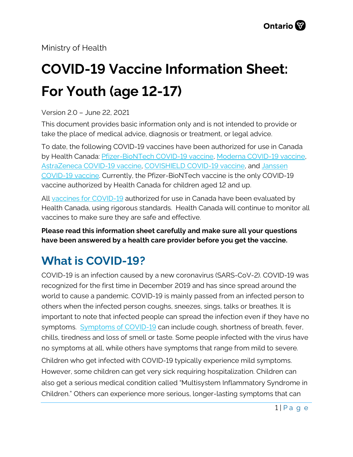Ministry of Health

# **COVID-19 Vaccine Information Sheet: For Youth (age 12-17)**

#### Version 2.0 – June 22, 2021

This document provides basic information only and is not intended to provide or take the place of medical advice, diagnosis or treatment, or legal advice.

To date, the following COVID-19 vaccines have been authorized for use in Canada by Health Canada: [Pfizer-BioNTech COVID-19 vaccine,](https://covid-vaccine.canada.ca/pfizer-biontech-covid-19-vaccine/product-details) [Moderna COVID-19 vaccine,](https://covid-vaccine.canada.ca/covid-19-vaccine-moderna/product-details)  [AstraZeneca COVID-19 vaccine,](https://covid-vaccine.canada.ca/astrazeneca-covid-19-vaccine/product-details) [COVISHIELD COVID-19 vaccine,](https://covid-vaccine.canada.ca/covishield/product-details) and [Janssen](https://covid-vaccine.canada.ca/janssen-covid-19-vaccine/product-details)  [COVID-19 vaccine.](https://covid-vaccine.canada.ca/janssen-covid-19-vaccine/product-details) Currently, the Pfizer-BioNTech vaccine is the only COVID-19 vaccine authorized by Health Canada for children aged 12 and up.

All [vaccines for COVID-19](https://www.canada.ca/en/public-health/services/diseases/coronavirus-disease-covid-19/vaccines.htm) authorized for use in Canada have been evaluated by Health Canada, using rigorous standards. Health Canada will continue to monitor all vaccines to make sure they are safe and effective.

**Please read this information sheet carefully and make sure all your questions have been answered by a health care provider before you get the vaccine.**

### **What is COVID-19?**

COVID-19 is an infection caused by a new coronavirus (SARS-CoV-2). COVID-19 was recognized for the first time in December 2019 and has since spread around the world to cause a pandemic. COVID-19 is mainly passed from an infected person to others when the infected person coughs, sneezes, sings, talks or breathes. It is important to note that infected people can spread the infection even if they have no symptoms. [Symptoms of COVID-19](https://www.canada.ca/en/public-health/services/diseases/2019-novel-coronavirus-infection/symptoms.html) can include cough, shortness of breath, fever, chills, tiredness and loss of smell or taste. Some people infected with the virus have no symptoms at all, while others have symptoms that range from mild to severe. Children who get infected with COVID-19 typically experience mild symptoms. However, some children can get very sick requiring hospitalization. Children can also get a serious medical condition called "Multisystem Inflammatory Syndrome in Children." Others can experience more serious, longer-lasting symptoms that can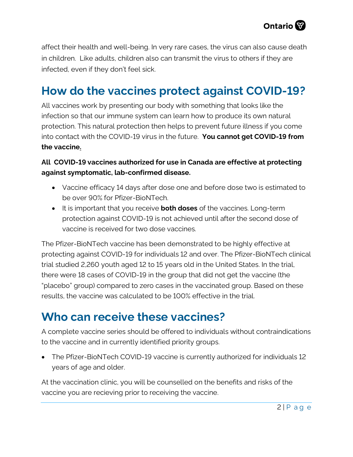

affect their health and well-being. In very rare cases, the virus can also cause death in children. Like adults, children also can transmit the virus to others if they are infected, even if they don't feel sick.

### **How do the vaccines protect against COVID-19?**

All vaccines work by presenting our body with something that looks like the infection so that our immune system can learn how to produce its own natural protection. This natural protection then helps to prevent future illness if you come into contact with the COVID-19 virus in the future. **You cannot get COVID-19 from the vaccine.**

#### **All COVID-19 vaccines authorized for use in Canada are effective at protecting against symptomatic, lab-confirmed disease.**

- Vaccine efficacy 14 days after dose one and before dose two is estimated to be over 90% for Pfizer-BioNTech.
- It is important that you receive **both doses** of the vaccines. Long-term protection against COVID-19 is not achieved until after the second dose of vaccine is received for two dose vaccines.

The Pfizer-BioNTech vaccine has been demonstrated to be highly effective at protecting against COVID-19 for individuals 12 and over. The Pfizer-BioNTech clinical trial studied 2,260 youth aged 12 to 15 years old in the United States. In the trial, there were 18 cases of COVID-19 in the group that did not get the vaccine (the "placebo" group) compared to zero cases in the vaccinated group. Based on these results, the vaccine was calculated to be 100% effective in the trial.

### **Who can receive these vaccines?**

A complete vaccine series should be offered to individuals without contraindications to the vaccine and in currently identified priority groups.

• The Pfizer-BioNTech COVID-19 vaccine is currently authorized for individuals 12 years of age and older.

At the vaccination clinic, you will be counselled on the benefits and risks of the vaccine you are recieving prior to receiving the vaccine.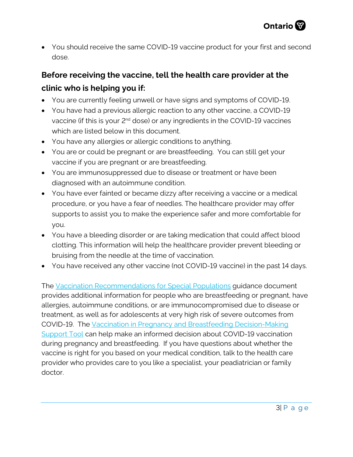• You should receive the same COVID-19 vaccine product for your first and second dose.

### **Before receiving the vaccine, tell the health care provider at the clinic who is helping you if:**

- You are currently feeling unwell or have signs and symptoms of COVID-19.
- You have had a previous allergic reaction to any other vaccine, a COVID-19 vaccine (if this is your 2<sup>nd</sup> dose) or any ingredients in the COVID-19 vaccines which are listed below in this document.
- You have any allergies or allergic conditions to anything.
- You are or could be pregnant or are breastfeeding. You can still get your vaccine if you are pregnant or are breastfeeding.
- You are immunosuppressed due to disease or treatment or have been diagnosed with an autoimmune condition.
- You have ever fainted or became dizzy after receiving a vaccine or a medical procedure, or you have a fear of needles. The healthcare provider may offer supports to assist you to make the experience safer and more comfortable for you.
- You have a bleeding disorder or are taking medication that could affect blood clotting. This information will help the healthcare provider prevent bleeding or bruising from the needle at the time of vaccination.
- You have received any other vaccine (not COVID-19 vaccine) in the past 14 days.

The [Vaccination Recommendations for Special Populations](https://www.health.gov.on.ca/en/pro/programs/publichealth/coronavirus/docs/vaccine/COVID-19_vaccination_rec_special_populations.pdf) guidance document provides additional information for people who are breastfeeding or pregnant, have allergies, autoimmune conditions, or are immunocompromised due to disease or treatment, as well as for adolescents at very high risk of severe outcomes from COVID-19. The [Vaccination in Pregnancy and Breastfeeding Decision-Making](https://www.health.gov.on.ca/en/pro/programs/publichealth/coronavirus/docs/vaccine/COVID-19_vaccination_pregnancy_clinical_support_tool.pdf) [Support Tool](https://www.health.gov.on.ca/en/pro/programs/publichealth/coronavirus/docs/vaccine/COVID-19_vaccination_pregnancy_clinical_support_tool.pdf) can help make an informed decision about COVID-19 vaccination during pregnancy and breastfeeding. If you have questions about whether the vaccine is right for you based on your medical condition, talk to the health care provider who provides care to you like a specialist, your peadiatrician or family doctor.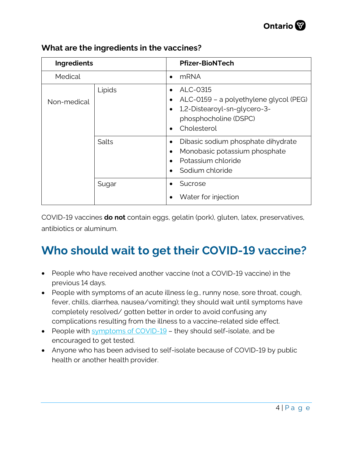

| Ingredients |        |                             | <b>Pfizer-BioNTech</b>                                                                                                     |
|-------------|--------|-----------------------------|----------------------------------------------------------------------------------------------------------------------------|
| Medical     |        | $\bullet$                   | <b>mRNA</b>                                                                                                                |
| Non-medical | Lipids | ٠<br>$\bullet$<br>$\bullet$ | ALC-0315<br>ALC-0159 - a polyethylene glycol (PEG)<br>1,2-Distearoyl-sn-glycero-3-<br>phosphocholine (DSPC)<br>Cholesterol |
|             | Salts  | ٠<br>$\bullet$              | Dibasic sodium phosphate dihydrate<br>Monobasic potassium phosphate<br>Potassium chloride<br>Sodium chloride               |
|             | Sugar  |                             | Sucrose<br>Water for injection                                                                                             |

#### **What are the ingredients in the vaccines?**

COVID-19 vaccines **do not** contain eggs, gelatin (pork), gluten, latex, preservatives, antibiotics or aluminum.

# **Who should wait to get their COVID-19 vaccine?**

- People who have received another vaccine (not a COVID-19 vaccine) in the previous 14 days.
- People with symptoms of an acute illness (e.g., runny nose, sore throat, cough, fever, chills, diarrhea, nausea/vomiting); they should wait until symptoms have completely resolved/ gotten better in order to avoid confusing any complications resulting from the illness to a vaccine-related side effect.
- People with [symptoms of COVID-19](https://www.canada.ca/en/public-health/services/diseases/2019-novel-coronavirus-infection/symptoms.html?utm_campaign=hc-sc-phm-21-22&utm_medium=sem&utm_source=ggl-grant&utm_content=ad-text-en&utm_term=coronavirus&adv=2122-0008&id_campaign=12663558361&id_source=119762101589&id_content=511679450570)  they should self-isolate, and be encouraged to get tested.
- Anyone who has been advised to self-isolate because of COVID-19 by public health or another health provider.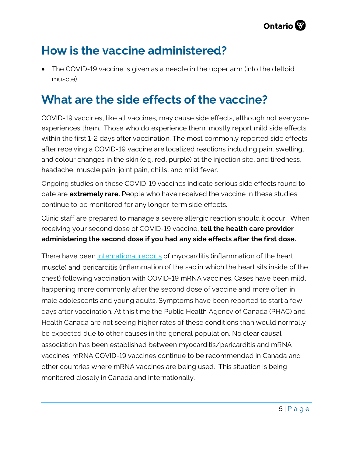

### **How is the vaccine administered?**

• The COVID-19 vaccine is given as a needle in the upper arm (into the deltoid muscle).

### **What are the side effects of the vaccine?**

COVID-19 vaccines, like all vaccines, may cause side effects, although not everyone experiences them. Those who do experience them, mostly report mild side effects within the first 1-2 days after vaccination. The most commonly reported side effects after receiving a COVID-19 vaccine are localized reactions including pain, swelling, and colour changes in the skin (e.g. red, purple) at the injection site, and tiredness, headache, muscle pain, joint pain, chills, and mild fever.

Ongoing studies on these COVID-19 vaccines indicate serious side effects found todate are **extremely rare.** People who have received the vaccine in these studies continue to be monitored for any longer-term side effects.

Clinic staff are prepared to manage a severe allergic reaction should it occur. When receiving your second dose of COVID-19 vaccine, **tell the health care provider administering the second dose if you had any side effects after the first dose.**

There have been [international reports](https://can01.safelinks.protection.outlook.com/?url=https%3A%2F%2Furldefense.com%2Fv3%2F__https%3A%2F%2Fwww.who.int%2Fnews%2Fitem%2F26-05-2021-gacvs-myocarditis-reported-with-covid-19-mrna-vaccines__%3B!!D0zGoin7BXfl!v_l42l6It1xK2jzMHH2EFYTq4yLNI9ncqTZkTm00dVeeRUpJTVs45I2cvIlZD4k-MAhegDM%24&data=04%7C01%7CHilary.Hall%40ontario.ca%7C70570439ae9a4eddd49708d930372299%7Ccddc1229ac2a4b97b78a0e5cacb5865c%7C0%7C0%7C637593835644225678%7CUnknown%7CTWFpbGZsb3d8eyJWIjoiMC4wLjAwMDAiLCJQIjoiV2luMzIiLCJBTiI6Ik1haWwiLCJXVCI6Mn0%3D%7C1000&sdata=XLSrKhGNAZ2drEul1CwGBR5K%2B4TWKCEuVveLzfagSi4%3D&reserved=0) of myocarditis (inflammation of the heart muscle) and pericarditis (inflammation of the sac in which the heart sits inside of the chest) following vaccination with COVID-19 mRNA vaccines. Cases have been mild, happening more commonly after the second dose of vaccine and more often in male adolescents and young adults. Symptoms have been reported to start a few days after vaccination. At this time the Public Health Agency of Canada (PHAC) and Health Canada are not seeing higher rates of these conditions than would normally be expected due to other causes in the general population. No clear causal association has been established between myocarditis/pericarditis and mRNA vaccines. mRNA COVID-19 vaccines continue to be recommended in Canada and other countries where mRNA vaccines are being used. This situation is being monitored closely in Canada and internationally.